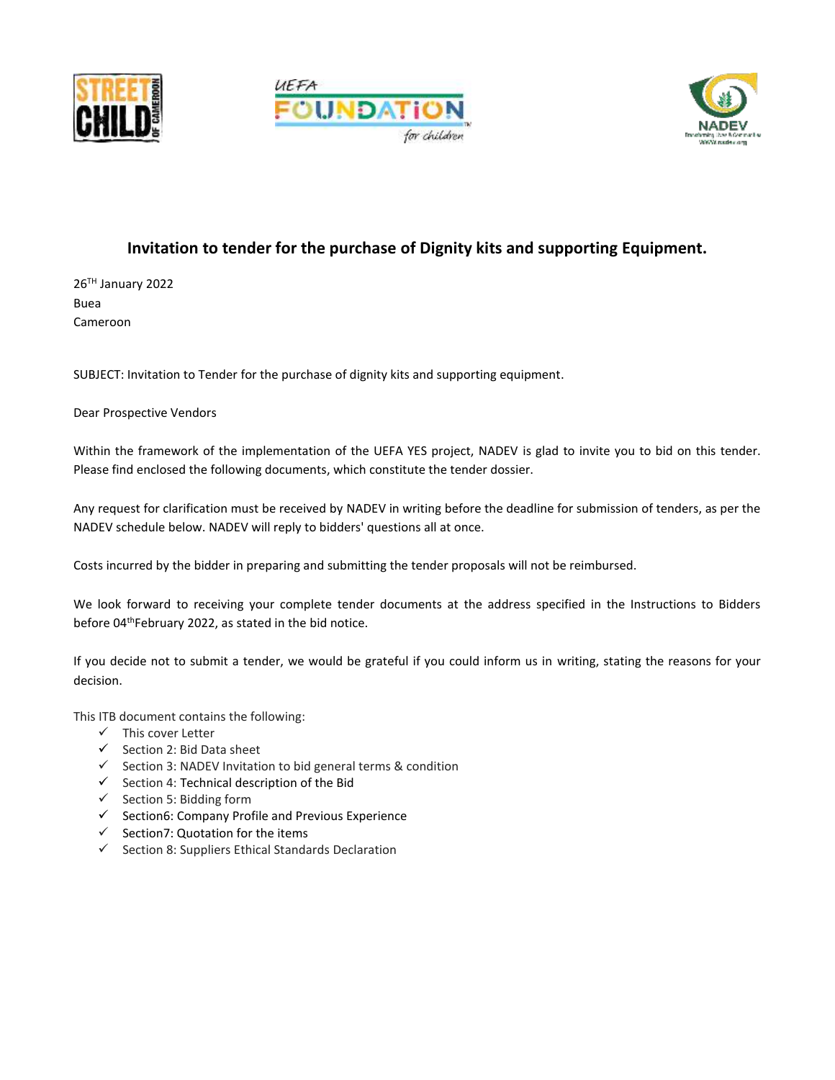





# **Invitation to tender for the purchase of Dignity kits and supporting Equipment.**

26TH January 2022 Buea Cameroon

SUBJECT: Invitation to Tender for the purchase of dignity kits and supporting equipment.

Dear Prospective Vendors

Within the framework of the implementation of the UEFA YES project, NADEV is glad to invite you to bid on this tender. Please find enclosed the following documents, which constitute the tender dossier.

Any request for clarification must be received by NADEV in writing before the deadline for submission of tenders, as per the NADEV schedule below. NADEV will reply to bidders' questions all at once.

Costs incurred by the bidder in preparing and submitting the tender proposals will not be reimbursed.

We look forward to receiving your complete tender documents at the address specified in the Instructions to Bidders before 04<sup>th</sup>February 2022, as stated in the bid notice.

If you decide not to submit a tender, we would be grateful if you could inform us in writing, stating the reasons for your decision.

This ITB document contains the following:

- ✓ This cover Letter
- ✓ Section 2: Bid Data sheet
- ✓ Section 3: NADEV Invitation to bid general terms & condition
- ✓ Section 4: Technical description of the Bid
- ✓ Section 5: Bidding form
- ✓ Section6: Company Profile and Previous Experience
- ✓ Section7: Quotation for the items
- ✓ Section 8: Suppliers Ethical Standards Declaration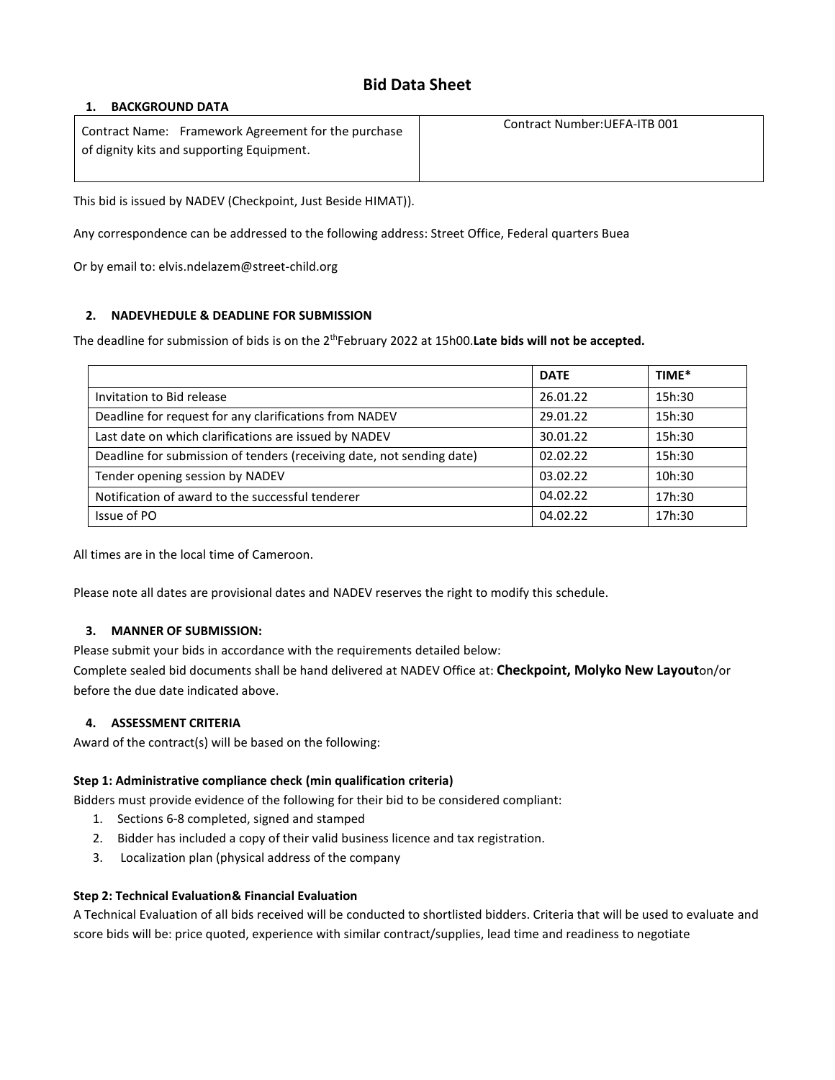# **Bid Data Sheet**

### **1. BACKGROUND DATA**

Contract Name: Framework Agreement for the purchase of dignity kits and supporting Equipment. Contract Number:UEFA-ITB 001

This bid is issued by NADEV (Checkpoint, Just Beside HIMAT)).

Any correspondence can be addressed to the following address: Street Office, Federal quarters Buea

Or by email to: elvis.ndelazem@street-child.org

## **2. NADEVHEDULE & DEADLINE FOR SUBMISSION**

The deadline for submission of bids is on the 2<sup>th</sup>February 2022 at 15h00.Late bids will not be accepted.

|                                                                       | <b>DATE</b> | TIME*  |
|-----------------------------------------------------------------------|-------------|--------|
| Invitation to Bid release                                             | 26.01.22    | 15h:30 |
| Deadline for request for any clarifications from NADEV                | 29.01.22    | 15h:30 |
| Last date on which clarifications are issued by NADEV                 | 30.01.22    | 15h:30 |
| Deadline for submission of tenders (receiving date, not sending date) | 02.02.22    | 15h:30 |
| Tender opening session by NADEV                                       | 03.02.22    | 10h:30 |
| Notification of award to the successful tenderer                      | 04.02.22    | 17h:30 |
| Issue of PO                                                           | 04.02.22    | 17h:30 |

All times are in the local time of Cameroon.

Please note all dates are provisional dates and NADEV reserves the right to modify this schedule.

## **3. MANNER OF SUBMISSION:**

Please submit your bids in accordance with the requirements detailed below:

Complete sealed bid documents shall be hand delivered at NADEV Office at: **Checkpoint, Molyko New Layout**on/or before the due date indicated above.

## **4. ASSESSMENT CRITERIA**

Award of the contract(s) will be based on the following:

## **Step 1: Administrative compliance check (min qualification criteria)**

Bidders must provide evidence of the following for their bid to be considered compliant:

- 1. Sections 6-8 completed, signed and stamped
- 2. Bidder has included a copy of their valid business licence and tax registration.
- 3. Localization plan (physical address of the company

### **Step 2: Technical Evaluation& Financial Evaluation**

A Technical Evaluation of all bids received will be conducted to shortlisted bidders. Criteria that will be used to evaluate and score bids will be: price quoted, experience with similar contract/supplies, lead time and readiness to negotiate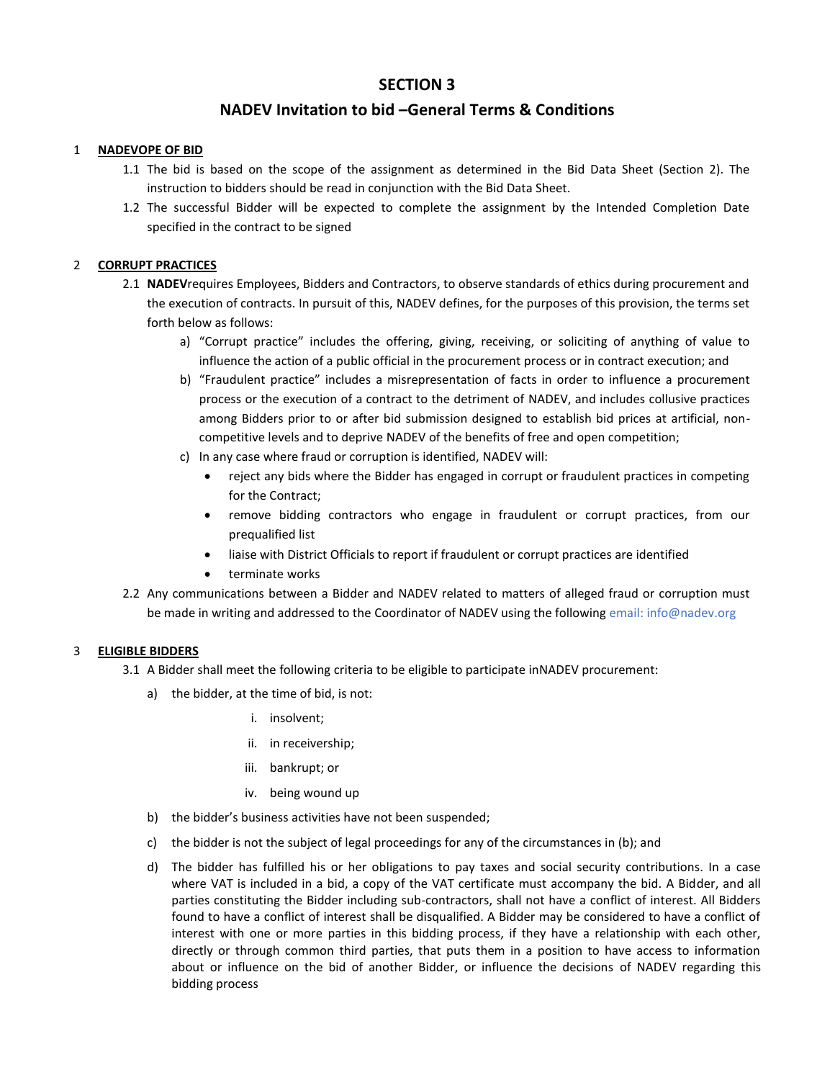## **SECTION 3**

## **NADEV Invitation to bid –General Terms & Conditions**

### 1 **NADEVOPE OF BID**

- 1.1 The bid is based on the scope of the assignment as determined in the Bid Data Sheet (Section 2). The instruction to bidders should be read in conjunction with the Bid Data Sheet.
- 1.2 The successful Bidder will be expected to complete the assignment by the Intended Completion Date specified in the contract to be signed

### 2 **CORRUPT PRACTICES**

- 2.1 **NADEV**requires Employees, Bidders and Contractors, to observe standards of ethics during procurement and the execution of contracts. In pursuit of this, NADEV defines, for the purposes of this provision, the terms set forth below as follows:
	- a) "Corrupt practice" includes the offering, giving, receiving, or soliciting of anything of value to influence the action of a public official in the procurement process or in contract execution; and
	- b) "Fraudulent practice" includes a misrepresentation of facts in order to influence a procurement process or the execution of a contract to the detriment of NADEV, and includes collusive practices among Bidders prior to or after bid submission designed to establish bid prices at artificial, noncompetitive levels and to deprive NADEV of the benefits of free and open competition;
	- c) In any case where fraud or corruption is identified, NADEV will:
		- reject any bids where the Bidder has engaged in corrupt or fraudulent practices in competing for the Contract;
		- remove bidding contractors who engage in fraudulent or corrupt practices, from our prequalified list
		- liaise with District Officials to report if fraudulent or corrupt practices are identified
		- terminate works
- 2.2 Any communications between a Bidder and NADEV related to matters of alleged fraud or corruption must be made in writing and addressed to the Coordinator of NADEV using the following email: info@nadev.org

### 3 **ELIGIBLE BIDDERS**

- 3.1 A Bidder shall meet the following criteria to be eligible to participate inNADEV procurement:
	- a) the bidder, at the time of bid, is not:
		- i. insolvent;
		- ii. in receivership;
		- iii. bankrupt; or
		- iv. being wound up
	- b) the bidder's business activities have not been suspended;
	- c) the bidder is not the subject of legal proceedings for any of the circumstances in (b); and
	- d) The bidder has fulfilled his or her obligations to pay taxes and social security contributions. In a case where VAT is included in a bid, a copy of the VAT certificate must accompany the bid. A Bidder, and all parties constituting the Bidder including sub-contractors, shall not have a conflict of interest. All Bidders found to have a conflict of interest shall be disqualified. A Bidder may be considered to have a conflict of interest with one or more parties in this bidding process, if they have a relationship with each other, directly or through common third parties, that puts them in a position to have access to information about or influence on the bid of another Bidder, or influence the decisions of NADEV regarding this bidding process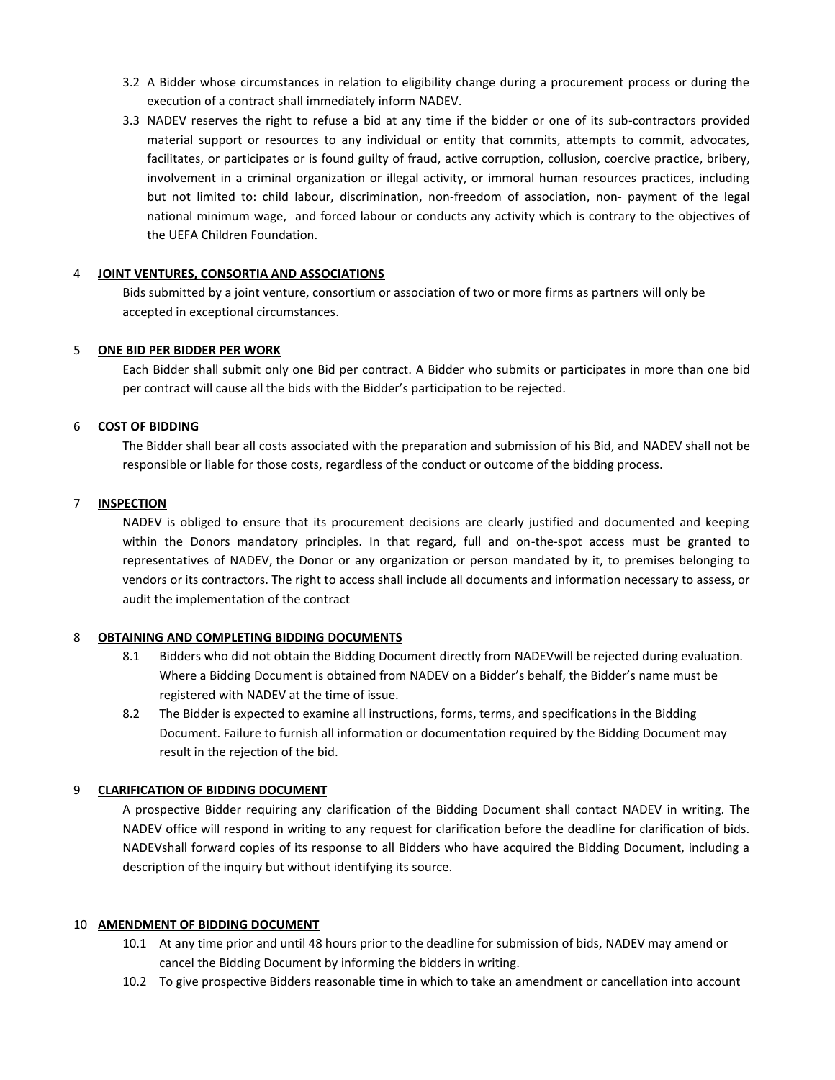- 3.2 A Bidder whose circumstances in relation to eligibility change during a procurement process or during the execution of a contract shall immediately inform NADEV.
- 3.3 NADEV reserves the right to refuse a bid at any time if the bidder or one of its sub-contractors provided material support or resources to any individual or entity that commits, attempts to commit, advocates, facilitates, or participates or is found guilty of fraud, active corruption, collusion, coercive practice, bribery, involvement in a criminal organization or illegal activity, or immoral human resources practices, including but not limited to: child labour, discrimination, non-freedom of association, non- payment of the legal national minimum wage, and forced labour or conducts any activity which is contrary to the objectives of the UEFA Children Foundation.

#### 4 **JOINT VENTURES, CONSORTIA AND ASSOCIATIONS**

Bids submitted by a joint venture, consortium or association of two or more firms as partners will only be accepted in exceptional circumstances.

#### 5 **ONE BID PER BIDDER PER WORK**

Each Bidder shall submit only one Bid per contract. A Bidder who submits or participates in more than one bid per contract will cause all the bids with the Bidder's participation to be rejected.

#### 6 **COST OF BIDDING**

The Bidder shall bear all costs associated with the preparation and submission of his Bid, and NADEV shall not be responsible or liable for those costs, regardless of the conduct or outcome of the bidding process.

#### 7 **INSPECTION**

NADEV is obliged to ensure that its procurement decisions are clearly justified and documented and keeping within the Donors mandatory principles. In that regard, full and on-the-spot access must be granted to representatives of NADEV, the Donor or any organization or person mandated by it, to premises belonging to vendors or its contractors. The right to access shall include all documents and information necessary to assess, or audit the implementation of the contract

### 8 **OBTAINING AND COMPLETING BIDDING DOCUMENTS**

- 8.1 Bidders who did not obtain the Bidding Document directly from NADEVwill be rejected during evaluation. Where a Bidding Document is obtained from NADEV on a Bidder's behalf, the Bidder's name must be registered with NADEV at the time of issue.
- 8.2 The Bidder is expected to examine all instructions, forms, terms, and specifications in the Bidding Document. Failure to furnish all information or documentation required by the Bidding Document may result in the rejection of the bid.

#### 9 **CLARIFICATION OF BIDDING DOCUMENT**

A prospective Bidder requiring any clarification of the Bidding Document shall contact NADEV in writing. The NADEV office will respond in writing to any request for clarification before the deadline for clarification of bids. NADEVshall forward copies of its response to all Bidders who have acquired the Bidding Document, including a description of the inquiry but without identifying its source.

#### 10 **AMENDMENT OF BIDDING DOCUMENT**

- 10.1 At any time prior and until 48 hours prior to the deadline for submission of bids, NADEV may amend or cancel the Bidding Document by informing the bidders in writing.
- 10.2 To give prospective Bidders reasonable time in which to take an amendment or cancellation into account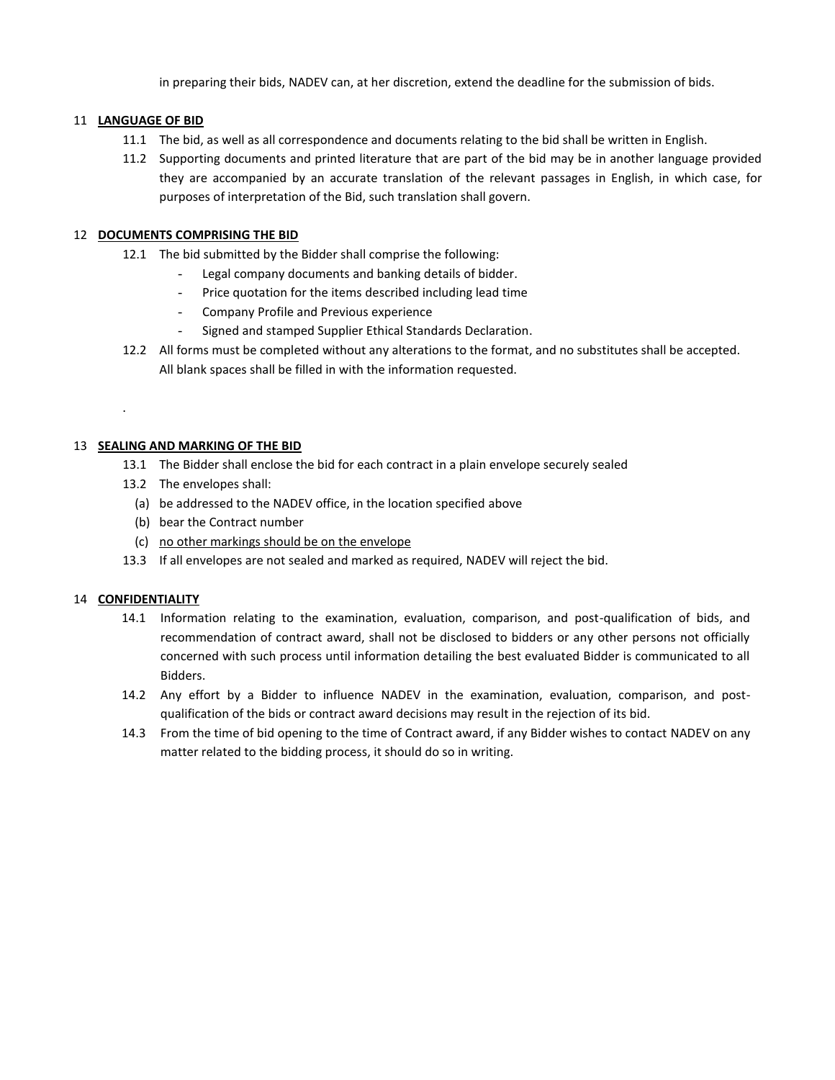in preparing their bids, NADEV can, at her discretion, extend the deadline for the submission of bids.

### 11 **LANGUAGE OF BID**

- 11.1 The bid, as well as all correspondence and documents relating to the bid shall be written in English.
- 11.2 Supporting documents and printed literature that are part of the bid may be in another language provided they are accompanied by an accurate translation of the relevant passages in English, in which case, for purposes of interpretation of the Bid, such translation shall govern.

### 12 **DOCUMENTS COMPRISING THE BID**

- 12.1 The bid submitted by the Bidder shall comprise the following:
	- Legal company documents and banking details of bidder.
	- Price quotation for the items described including lead time
	- Company Profile and Previous experience
	- Signed and stamped Supplier Ethical Standards Declaration.
- 12.2 All forms must be completed without any alterations to the format, and no substitutes shall be accepted. All blank spaces shall be filled in with the information requested.

### 13 **SEALING AND MARKING OF THE BID**

- 13.1 The Bidder shall enclose the bid for each contract in a plain envelope securely sealed
- 13.2 The envelopes shall:
	- (a) be addressed to the NADEV office, in the location specified above
	- (b) bear the Contract number
	- (c) no other markings should be on the envelope
- 13.3 If all envelopes are not sealed and marked as required, NADEV will reject the bid.

### 14 **CONFIDENTIALITY**

.

- 14.1 Information relating to the examination, evaluation, comparison, and post-qualification of bids, and recommendation of contract award, shall not be disclosed to bidders or any other persons not officially concerned with such process until information detailing the best evaluated Bidder is communicated to all Bidders.
- 14.2 Any effort by a Bidder to influence NADEV in the examination, evaluation, comparison, and postqualification of the bids or contract award decisions may result in the rejection of its bid.
- 14.3 From the time of bid opening to the time of Contract award, if any Bidder wishes to contact NADEV on any matter related to the bidding process, it should do so in writing.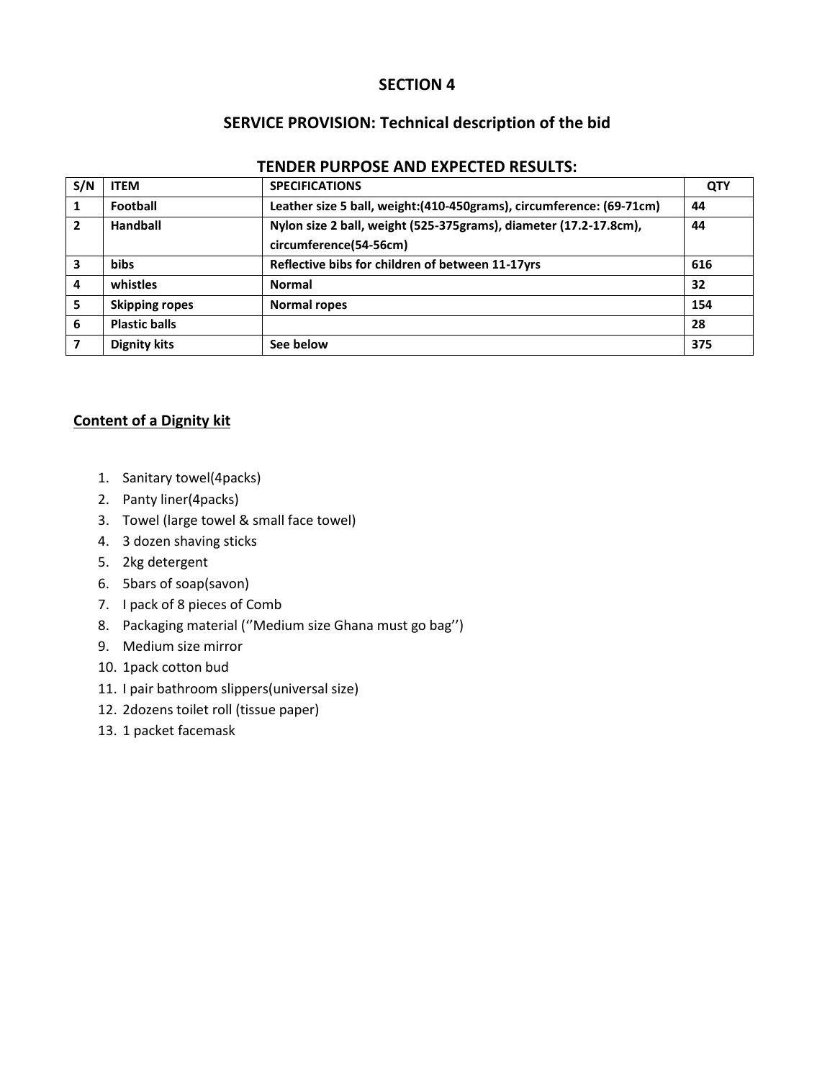## **SECTION 4**

# **SERVICE PROVISION: Technical description of the bid**

| S/N            | <b>ITEM</b>           | <b>SPECIFICATIONS</b>                                                 | <b>QTY</b> |
|----------------|-----------------------|-----------------------------------------------------------------------|------------|
| 1              | Football              | Leather size 5 ball, weight: (410-450grams), circumference: (69-71cm) | 44         |
| $\overline{2}$ | Handball              | Nylon size 2 ball, weight (525-375grams), diameter (17.2-17.8cm),     | 44         |
|                |                       | circumference(54-56cm)                                                |            |
| 3              | <b>bibs</b>           | Reflective bibs for children of between 11-17yrs                      | 616        |
| $\overline{a}$ | whistles              | <b>Normal</b>                                                         | 32         |
| 5              | <b>Skipping ropes</b> | Normal ropes                                                          | 154        |
| 6              | <b>Plastic balls</b>  |                                                                       | 28         |
| 7              | <b>Dignity kits</b>   | See below                                                             | 375        |
|                |                       |                                                                       |            |

# **TENDER PURPOSE AND EXPECTED RESULTS:**

## **Content of a Dignity kit**

- 1. Sanitary towel(4packs)
- 2. Panty liner(4packs)
- 3. Towel (large towel & small face towel)
- 4. 3 dozen shaving sticks
- 5. 2kg detergent
- 6. 5bars of soap(savon)
- 7. I pack of 8 pieces of Comb
- 8. Packaging material (''Medium size Ghana must go bag'')
- 9. Medium size mirror
- 10. 1pack cotton bud
- 11. I pair bathroom slippers(universal size)
- 12. 2dozens toilet roll (tissue paper)
- 13. 1 packet facemask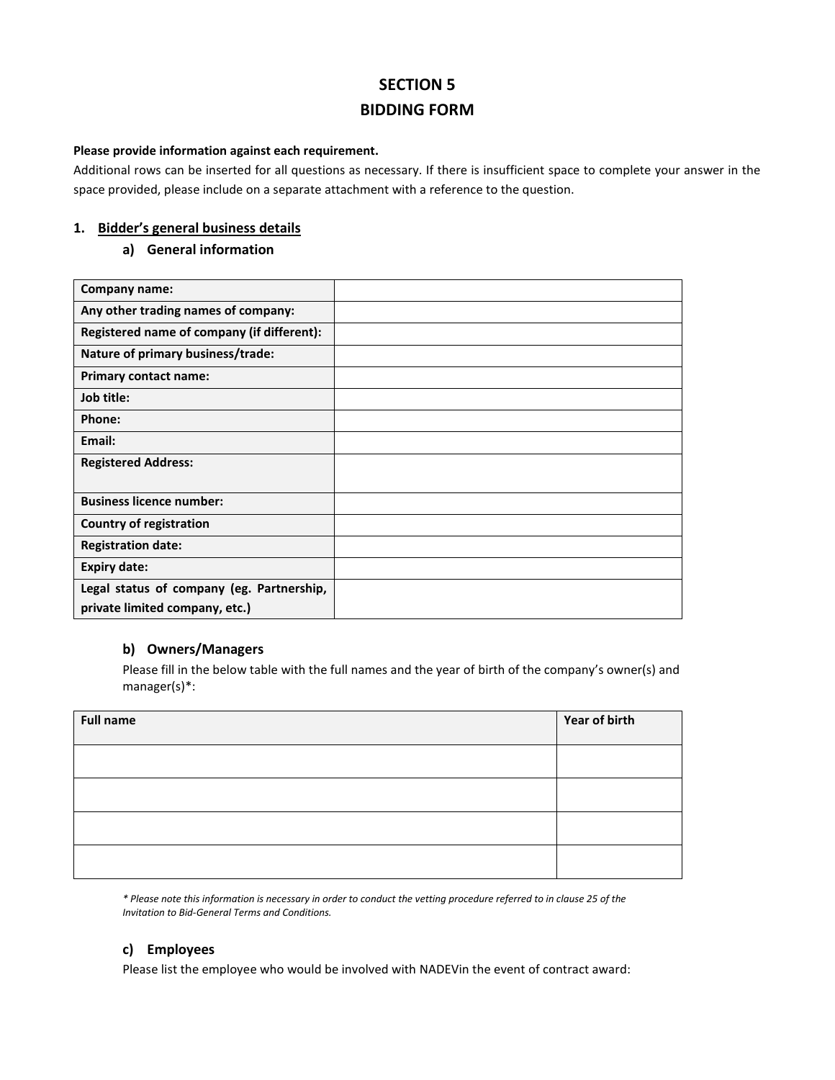# **SECTION 5 BIDDING FORM**

#### **Please provide information against each requirement.**

Additional rows can be inserted for all questions as necessary. If there is insufficient space to complete your answer in the space provided, please include on a separate attachment with a reference to the question.

#### **1. Bidder's general business details**

#### **a) General information**

| Company name:                              |  |
|--------------------------------------------|--|
| Any other trading names of company:        |  |
| Registered name of company (if different): |  |
| Nature of primary business/trade:          |  |
| <b>Primary contact name:</b>               |  |
| Job title:                                 |  |
| Phone:                                     |  |
| Email:                                     |  |
| <b>Registered Address:</b>                 |  |
|                                            |  |
| <b>Business licence number:</b>            |  |
| Country of registration                    |  |
| <b>Registration date:</b>                  |  |
| <b>Expiry date:</b>                        |  |
| Legal status of company (eg. Partnership,  |  |
| private limited company, etc.)             |  |

## **b) Owners/Managers**

Please fill in the below table with the full names and the year of birth of the company's owner(s) and manager(s)\*:

| <b>Full name</b> | Year of birth |
|------------------|---------------|
|                  |               |
|                  |               |
|                  |               |
|                  |               |

*\* Please note this information is necessary in order to conduct the vetting procedure referred to in clause 25 of the Invitation to Bid-General Terms and Conditions.*

## **c) Employees**

Please list the employee who would be involved with NADEVin the event of contract award: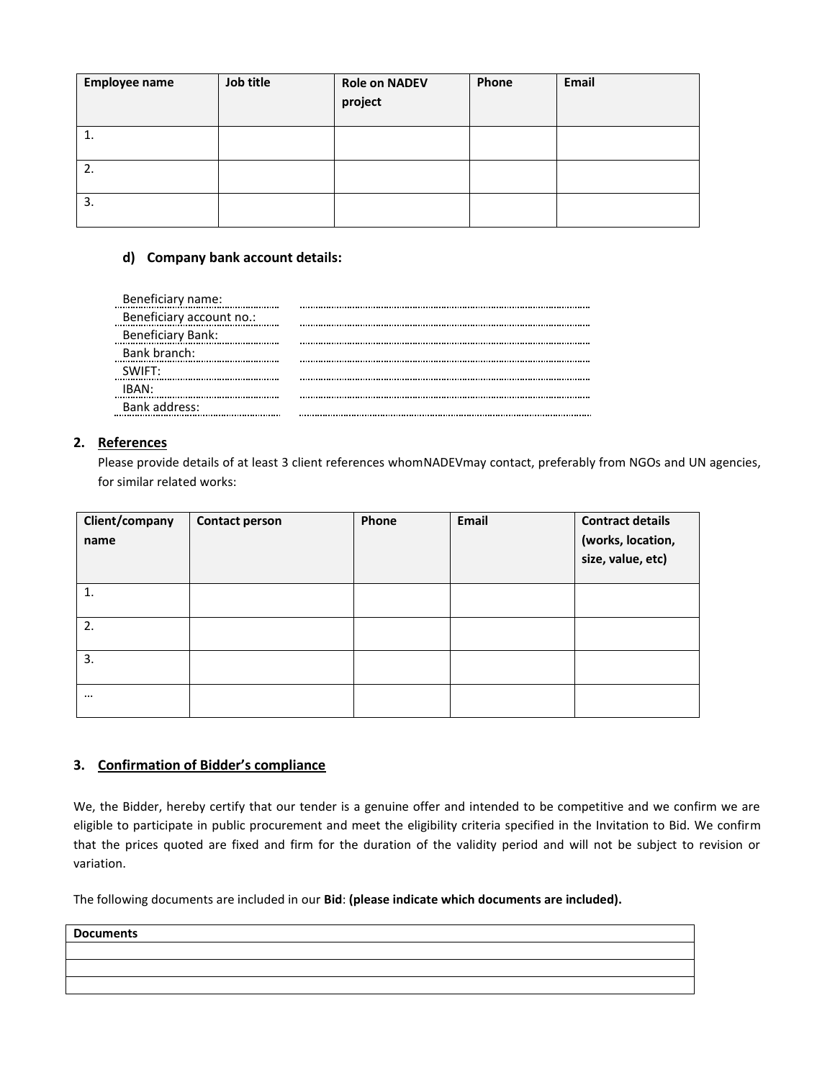| <b>Employee name</b> | Job title | <b>Role on NADEV</b><br>project | Phone | Email |
|----------------------|-----------|---------------------------------|-------|-------|
| 1.                   |           |                                 |       |       |
| 2.                   |           |                                 |       |       |
| 3.                   |           |                                 |       |       |

### **d) Company bank account details:**

| Beneficiary name:        |  |
|--------------------------|--|
| Beneficiary account no.: |  |
| <b>Beneficiary Bank:</b> |  |
| Bank branch:             |  |
| SWIFT:                   |  |
| IRAN                     |  |
| Bank address:            |  |

### **2. References**

Please provide details of at least 3 client references whomNADEVmay contact, preferably from NGOs and UN agencies, for similar related works:

| Client/company<br>name | <b>Contact person</b> | Phone | Email | <b>Contract details</b><br>(works, location,<br>size, value, etc) |
|------------------------|-----------------------|-------|-------|-------------------------------------------------------------------|
| 1.                     |                       |       |       |                                                                   |
| 2.                     |                       |       |       |                                                                   |
| 3.                     |                       |       |       |                                                                   |
| $\cdots$               |                       |       |       |                                                                   |

## **3. Confirmation of Bidder's compliance**

We, the Bidder, hereby certify that our tender is a genuine offer and intended to be competitive and we confirm we are eligible to participate in public procurement and meet the eligibility criteria specified in the Invitation to Bid. We confirm that the prices quoted are fixed and firm for the duration of the validity period and will not be subject to revision or variation.

The following documents are included in our **Bid**: **(please indicate which documents are included).** 

**Documents**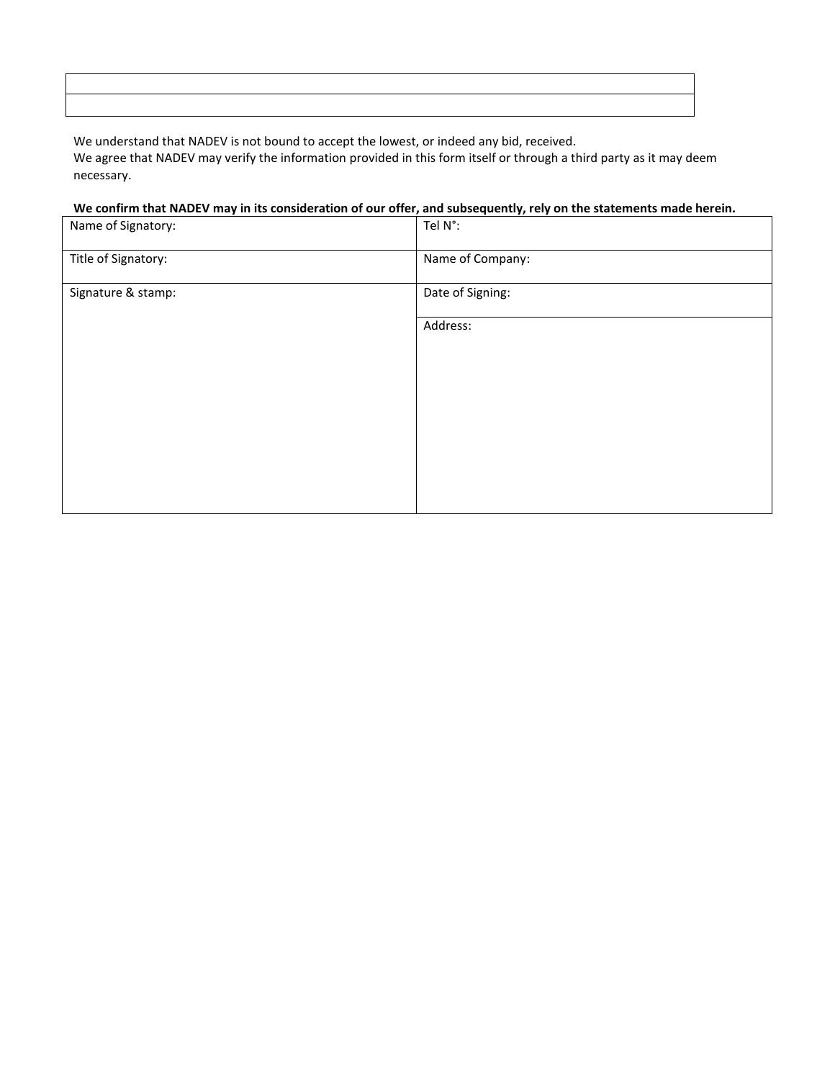We understand that NADEV is not bound to accept the lowest, or indeed any bid, received. We agree that NADEV may verify the information provided in this form itself or through a third party as it may deem necessary.

## **We confirm that NADEV may in its consideration of our offer, and subsequently, rely on the statements made herein.**

| Name of Signatory:  | Tel N°:          |
|---------------------|------------------|
| Title of Signatory: | Name of Company: |
| Signature & stamp:  | Date of Signing: |
|                     | Address:         |
|                     |                  |
|                     |                  |
|                     |                  |
|                     |                  |
|                     |                  |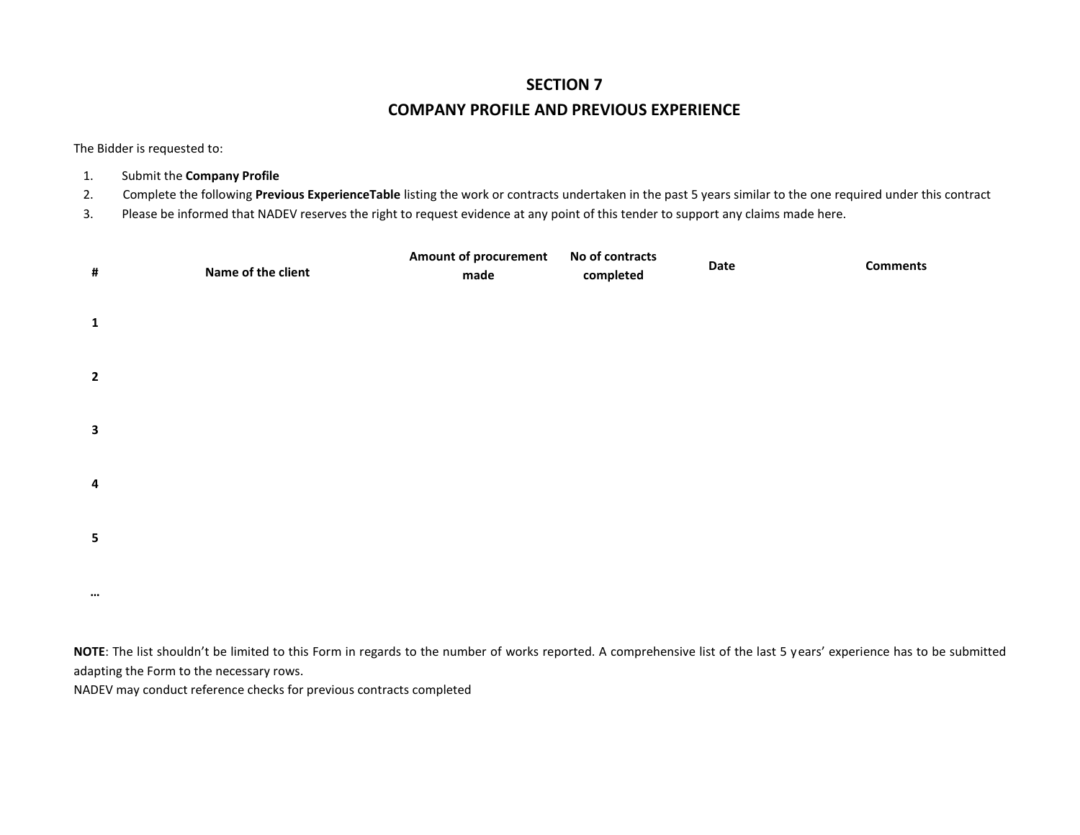# **SECTION 7 COMPANY PROFILE AND PREVIOUS EXPERIENCE**

The Bidder is requested to:

- 1. Submit the **Company Profile**
- 2. Complete the following **Previous ExperienceTable** listing the work or contracts undertaken in the past 5 years similar to the one required under this contract
- 3. Please be informed that NADEV reserves the right to request evidence at any point of this tender to support any claims made here.

| $\#$                    | Name of the client | <b>Amount of procurement</b><br>made | No of contracts<br>completed | Date | <b>Comments</b> |
|-------------------------|--------------------|--------------------------------------|------------------------------|------|-----------------|
| $\mathbf{1}$            |                    |                                      |                              |      |                 |
| $\overline{\mathbf{2}}$ |                    |                                      |                              |      |                 |
| $\mathbf{3}$            |                    |                                      |                              |      |                 |
| $\overline{\mathbf{4}}$ |                    |                                      |                              |      |                 |
| $5\phantom{a}$          |                    |                                      |                              |      |                 |
| $\cdots$                |                    |                                      |                              |      |                 |

**NOTE**: The list shouldn't be limited to this Form in regards to the number of works reported. A comprehensive list of the last 5 years' experience has to be submitted adapting the Form to the necessary rows.

NADEV may conduct reference checks for previous contracts completed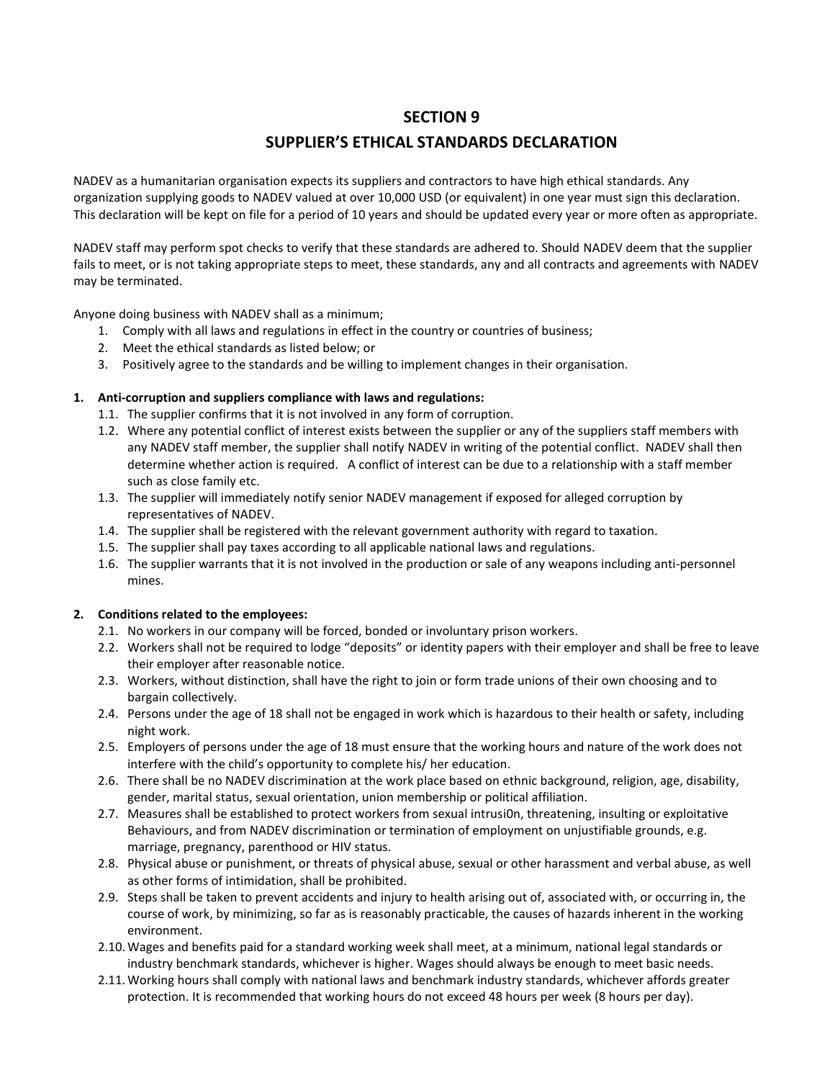## **SECTION 9**

# **SUPPLIER'S ETHICAL STANDARDS DECLARATION**

NADEV as a humanitarian organisation expects its suppliers and contractors to have high ethical standards. Any organization supplying goods to NADEV valued at over 10,000 USD (or equivalent) in one year must sign this declaration. This declaration will be kept on file for a period of 10 years and should be updated every year or more often as appropriate.

NADEV staff may perform spot checks to verify that these standards are adhered to. Should NADEV deem that the supplier fails to meet, or is not taking appropriate steps to meet, these standards, any and all contracts and agreements with NADEV may be terminated.

Anyone doing business with NADEV shall as a minimum;

- 1. Comply with all laws and regulations in effect in the country or countries of business;
- 2. Meet the ethical standards as listed below; or
- 3. Positively agree to the standards and be willing to implement changes in their organisation.

### **1. Anti-corruption and suppliers compliance with laws and regulations:**

- 1.1. The supplier confirms that it is not involved in any form of corruption.
- 1.2. Where any potential conflict of interest exists between the supplier or any of the suppliers staff members with any NADEV staff member, the supplier shall notify NADEV in writing of the potential conflict. NADEV shall then determine whether action is required. A conflict of interest can be due to a relationship with a staff member such as close family etc.
- 1.3. The supplier will immediately notify senior NADEV management if exposed for alleged corruption by representatives of NADEV.
- 1.4. The supplier shall be registered with the relevant government authority with regard to taxation.
- 1.5. The supplier shall pay taxes according to all applicable national laws and regulations.
- 1.6. The supplier warrants that it is not involved in the production or sale of any weapons including anti-personnel mines.

### **2. Conditions related to the employees:**

- 2.1. No workers in our company will be forced, bonded or involuntary prison workers.
- 2.2. Workers shall not be required to lodge "deposits" or identity papers with their employer and shall be free to leave their employer after reasonable notice.
- 2.3. Workers, without distinction, shall have the right to join or form trade unions of their own choosing and to bargain collectively.
- 2.4. Persons under the age of 18 shall not be engaged in work which is hazardous to their health or safety, including night work.
- 2.5. Employers of persons under the age of 18 must ensure that the working hours and nature of the work does not interfere with the child's opportunity to complete his/ her education.
- 2.6. There shall be no NADEV discrimination at the work place based on ethnic background, religion, age, disability, gender, marital status, sexual orientation, union membership or political affiliation.
- 2.7. Measures shall be established to protect workers from sexual intrusi0n, threatening, insulting or exploitative Behaviours, and from NADEV discrimination or termination of employment on unjustifiable grounds, e.g. marriage, pregnancy, parenthood or HIV status.
- 2.8. Physical abuse or punishment, or threats of physical abuse, sexual or other harassment and verbal abuse, as well as other forms of intimidation, shall be prohibited.
- 2.9. Steps shall be taken to prevent accidents and injury to health arising out of, associated with, or occurring in, the course of work, by minimizing, so far as is reasonably practicable, the causes of hazards inherent in the working environment.
- 2.10.Wages and benefits paid for a standard working week shall meet, at a minimum, national legal standards or industry benchmark standards, whichever is higher. Wages should always be enough to meet basic needs.
- 2.11.Working hours shall comply with national laws and benchmark industry standards, whichever affords greater protection. It is recommended that working hours do not exceed 48 hours per week (8 hours per day).